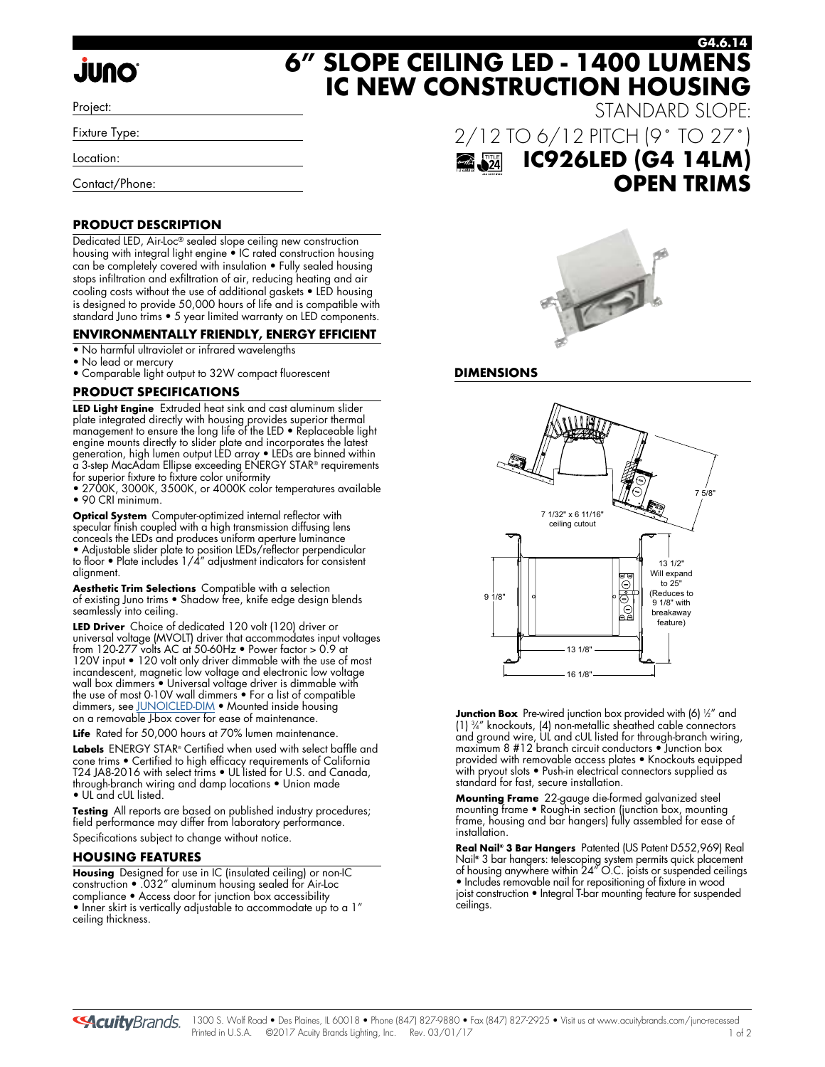# **JUNO**

Project:

Fixture Type:

Location:

Contact/Phone:

### **PRODUCT DESCRIPTION**

Dedicated LED, Air-Loc® sealed slope ceiling new construction housing with integral light engine • IC rated construction housing can be completely covered with insulation • Fully sealed housing stops infiltration and exfiltration of air, reducing heating and air cooling costs without the use of additional gaskets • LED housing is designed to provide 50,000 hours of life and is compatible with standard Juno trims • 5 year limited warranty on LED components.

# **ENVIRONMENTALLY FRIENDLY, ENERGY EFFICIENT**

- No harmful ultraviolet or infrared wavelengths
- No lead or mercury
- Comparable light output to 32W compact fluorescent

# **PRODUCT SPECIFICATIONS**

**LED Light Engine** Extruded heat sink and cast aluminum slider plate integrated directly with housing provides superior thermal management to ensure the long life of the LED • Replaceable light engine mounts directly to slider plate and incorporates the latest generation, high lumen output LED array • LEDs are binned within a 3-step MacAdam Ellipse exceeding ENERGY STAR® requirements for superior fixture to fixture color uniformity

• 2700K, 3000K, 3500K, or 4000K color temperatures available • 90 CRI minimum.

**Optical System** Computer-optimized internal reflector with specular finish coupled with a high transmission diffusing lens conceals the LEDs and produces uniform aperture luminance • Adjustable slider plate to position LEDs/reflector perpendicular to floor • Plate includes 1/4" adjustment indicators for consistent alignment.

**Aesthetic Trim Selections** Compatible with a selection of existing Juno trims • Shadow free, knife edge design blends seamlessly into ceiling.

**LED Driver** Choice of dedicated 120 volt (120) driver or universal voltage (MVOLT) driver that accommodates input voltages from 120-277 volts AC at 50-60Hz • Power factor > 0.9 at 120V input • 120 volt only driver dimmable with the use of most incandescent, magnetic low voltage and electronic low voltage wall box dimmers • Universal voltage driver is dimmable with the use of most 0-10V wall dimmers • For a list of compatible dimmers, se[e JUNOICLED-DIM •](http://www.acuitybrands.com/shell/-/media/Files/Acuity/Other/JUNOICLED-DIM.pdf) Mounted inside housing on a removable J-box cover for ease of maintenance.

Life Rated for 50,000 hours at 70% lumen maintenance.

**Labels** ENERGY STAR® Certified when used with select baffle and cone trims • Certified to high efficacy requirements of California T24 JA8-2016 with select trims • UL listed for U.S. and Canada, through-branch wiring and damp locations • Union made • UL and cUL listed.

**Testing** All reports are based on published industry procedures; field performance may differ from laboratory performance. Specifications subject to change without notice.

### **HOUSING FEATURES**

**Housing** Designed for use in IC (insulated ceiling) or non-IC construction • .032" aluminum housing sealed for Air-Loc compliance • Access door for junction box accessibility • Inner skirt is vertically adjustable to accommodate up to a 1" ceiling thickness.

STANDARD SLOPE: 2/12 TO 6/12 PITCH (9˚ TO 27˚)  $\overrightarrow{a}$ **IC926LED (G4 14LM) OPEN TRIMS**

**G4.6.14**



### **DIMENSIONS**

**6" SLOPE CEILING LED - 1400 LUMENS**

**IC NEW CONSTRUCTION HOUSING**



**Junction Box** Pre-wired junction box provided with (6) ½" and (1) 3 ⁄4" knockouts, (4) non-metallic sheathed cable connectors and ground wire, UL and cUL listed for through-branch wiring, maximum 8 #12 branch circuit conductors • Junction box provided with removable access plates • Knockouts equipped with pryout slots • Push-in electrical connectors supplied as standard for fast, secure installation.

**Mounting Frame** 22-gauge die-formed galvanized steel mounting frame • Rough-in section (junction box, mounting frame, housing and bar hangers) fully assembled for ease of installation.

**Real Nail® 3 Bar Hangers** Patented (US Patent D552,969) Real Nail**®** 3 bar hangers: telescoping system permits quick placement of housing anywhere within 24" O.C. joists or suspended ceilings • Includes removable nail for repositioning of fixture in wood joist construction • Integral T-bar mounting feature for suspended ceilings.